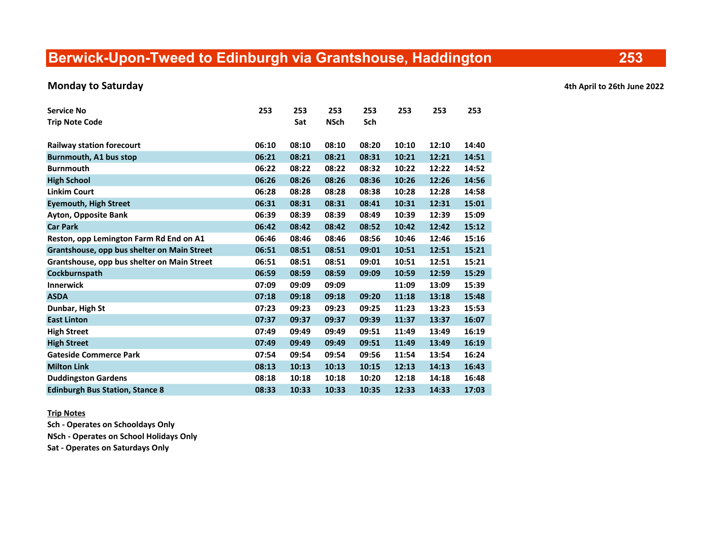# Berwick-Upon-Tweed to Edinburgh via Grantshouse, Haddington

### Monday to Saturday **Accord 2022** Monday to Saturday **Accord 2022** Monday to Saturday **4th April to 26th June 2022**

| <b>Service No</b>                           | 253   | 253   | 253         | 253   | 253   | 253   | 253   |
|---------------------------------------------|-------|-------|-------------|-------|-------|-------|-------|
| <b>Trip Note Code</b>                       |       | Sat   | <b>NSch</b> | Sch   |       |       |       |
| <b>Railway station forecourt</b>            | 06:10 | 08:10 | 08:10       | 08:20 | 10:10 | 12:10 | 14:40 |
| Burnmouth, A1 bus stop                      | 06:21 | 08:21 | 08:21       | 08:31 | 10:21 | 12:21 | 14:51 |
| <b>Burnmouth</b>                            | 06:22 | 08:22 | 08:22       | 08:32 | 10:22 | 12:22 | 14:52 |
| <b>High School</b>                          | 06:26 | 08:26 | 08:26       | 08:36 | 10:26 | 12:26 | 14:56 |
| <b>Linkim Court</b>                         | 06:28 | 08:28 | 08:28       | 08:38 | 10:28 | 12:28 | 14:58 |
| <b>Eyemouth, High Street</b>                | 06:31 | 08:31 | 08:31       | 08:41 | 10:31 | 12:31 | 15:01 |
| <b>Ayton, Opposite Bank</b>                 | 06:39 | 08:39 | 08:39       | 08:49 | 10:39 | 12:39 | 15:09 |
| <b>Car Park</b>                             | 06:42 | 08:42 | 08:42       | 08:52 | 10:42 | 12:42 | 15:12 |
| Reston, opp Lemington Farm Rd End on A1     | 06:46 | 08:46 | 08:46       | 08:56 | 10:46 | 12:46 | 15:16 |
| Grantshouse, opp bus shelter on Main Street | 06:51 | 08:51 | 08:51       | 09:01 | 10:51 | 12:51 | 15:21 |
| Grantshouse, opp bus shelter on Main Street | 06:51 | 08:51 | 08:51       | 09:01 | 10:51 | 12:51 | 15:21 |
| Cockburnspath                               | 06:59 | 08:59 | 08:59       | 09:09 | 10:59 | 12:59 | 15:29 |
| <b>Innerwick</b>                            | 07:09 | 09:09 | 09:09       |       | 11:09 | 13:09 | 15:39 |
| <b>ASDA</b>                                 | 07:18 | 09:18 | 09:18       | 09:20 | 11:18 | 13:18 | 15:48 |
| Dunbar, High St                             | 07:23 | 09:23 | 09:23       | 09:25 | 11:23 | 13:23 | 15:53 |
| <b>East Linton</b>                          | 07:37 | 09:37 | 09:37       | 09:39 | 11:37 | 13:37 | 16:07 |
| <b>High Street</b>                          | 07:49 | 09:49 | 09:49       | 09:51 | 11:49 | 13:49 | 16:19 |
| <b>High Street</b>                          | 07:49 | 09:49 | 09:49       | 09:51 | 11:49 | 13:49 | 16:19 |
| <b>Gateside Commerce Park</b>               | 07:54 | 09:54 | 09:54       | 09:56 | 11:54 | 13:54 | 16:24 |
| <b>Milton Link</b>                          | 08:13 | 10:13 | 10:13       | 10:15 | 12:13 | 14:13 | 16:43 |
| <b>Duddingston Gardens</b>                  | 08:18 | 10:18 | 10:18       | 10:20 | 12:18 | 14:18 | 16:48 |
| <b>Edinburgh Bus Station, Stance 8</b>      | 08:33 | 10:33 | 10:33       | 10:35 | 12:33 | 14:33 | 17:03 |

Trip Notes

Sch - Operates on Schooldays Only

NSch - Operates on School Holidays Only

Sat - Operates on Saturdays Only

253